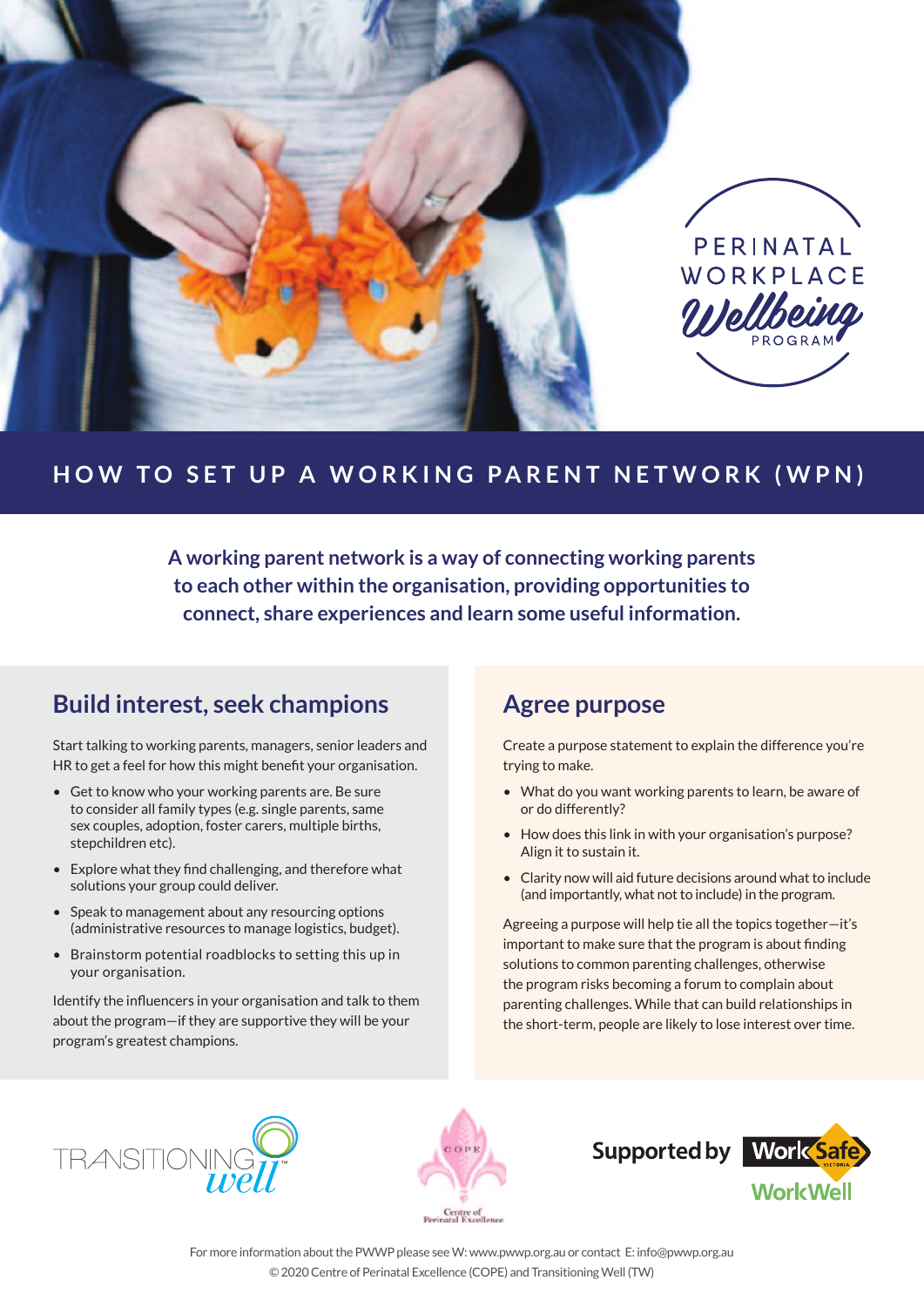

# **HOW TO SET UP A WORKING PARENT NETWORK (WPN)**

**A working parent network is a way of connecting working parents to each other within the organisation, providing opportunities to connect, share experiences and learn some useful information.** 

## **Build interest, seek champions**

Start talking to working parents, managers, senior leaders and HR to get a feel for how this might benefit your organisation.

- Get to know who your working parents are. Be sure to consider all family types (e.g. single parents, same sex couples, adoption, foster carers, multiple births, stepchildren etc).
- Explore what they find challenging, and therefore what solutions your group could deliver.
- Speak to management about any resourcing options (administrative resources to manage logistics, budget).
- Brainstorm potential roadblocks to setting this up in your organisation.

Identify the influencers in your organisation and talk to them about the program—if they are supportive they will be your program's greatest champions.

### **Agree purpose**

Create a purpose statement to explain the difference you're trying to make.

- What do you want working parents to learn, be aware of or do differently?
- How does this link in with your organisation's purpose? Align it to sustain it.
- Clarity now will aid future decisions around what to include (and importantly, what not to include) in the program.

Agreeing a purpose will help tie all the topics together—it's important to make sure that the program is about finding solutions to common parenting challenges, otherwise the program risks becoming a forum to complain about parenting challenges. While that can build relationships in the short-term, people are likely to lose interest over time.







**WorkWell** 

For more information about the PWWP please see W: www.pwwp.org.au or contact E: info@pwwp.org.au © 2020 Centre of Perinatal Excellence (COPE) and Transitioning Well (TW)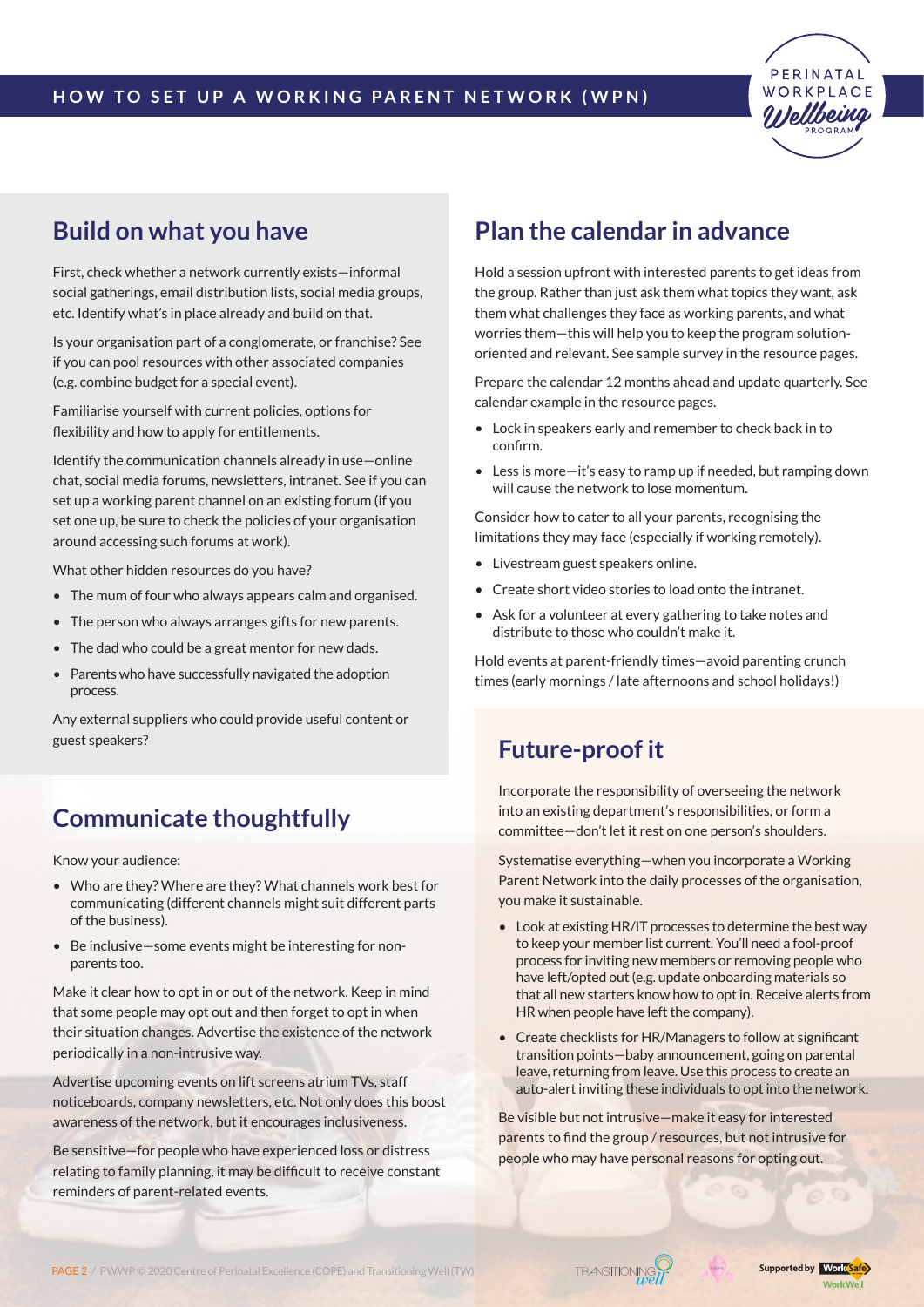

## **Build on what you have**

First, check whether a network currently exists—informal social gatherings, email distribution lists, social media groups, etc. Identify what's in place already and build on that.

Is your organisation part of a conglomerate, or franchise? See if you can pool resources with other associated companies (e.g. combine budget for a special event).

Familiarise yourself with current policies, options for flexibility and how to apply for entitlements.

Identify the communication channels already in use—online chat, social media forums, newsletters, intranet. See if you can set up a working parent channel on an existing forum (if you set one up, be sure to check the policies of your organisation around accessing such forums at work).

What other hidden resources do you have?

- The mum of four who always appears calm and organised.
- The person who always arranges gifts for new parents.
- The dad who could be a great mentor for new dads.
- Parents who have successfully navigated the adoption process.

Any external suppliers who could provide useful content or guest speakers?

# **Communicate thoughtfully**

Know your audience:

- Who are they? Where are they? What channels work best for communicating (different channels might suit different parts of the business).
- Be inclusive—some events might be interesting for nonparents too.

Make it clear how to opt in or out of the network. Keep in mind that some people may opt out and then forget to opt in when their situation changes. Advertise the existence of the network periodically in a non-intrusive way.

Advertise upcoming events on lift screens atrium TVs, staff noticeboards, company newsletters, etc. Not only does this boost awareness of the network, but it encourages inclusiveness.

Be sensitive—for people who have experienced loss or distress relating to family planning, it may be difficult to receive constant reminders of parent-related events.

## **Plan the calendar in advance**

Hold a session upfront with interested parents to get ideas from the group. Rather than just ask them what topics they want, ask them what challenges they face as working parents, and what worries them—this will help you to keep the program solutionoriented and relevant. See sample survey in the resource pages.

Prepare the calendar 12 months ahead and update quarterly. See calendar example in the resource pages.

- Lock in speakers early and remember to check back in to confirm.
- Less is more—it's easy to ramp up if needed, but ramping down will cause the network to lose momentum.

Consider how to cater to all your parents, recognising the limitations they may face (especially if working remotely).

- Livestream guest speakers online.
- Create short video stories to load onto the intranet.
- Ask for a volunteer at every gathering to take notes and distribute to those who couldn't make it.

Hold events at parent-friendly times—avoid parenting crunch times (early mornings / late afternoons and school holidays!)

## **Future-proof it**

Incorporate the responsibility of overseeing the network into an existing department's responsibilities, or form a committee—don't let it rest on one person's shoulders.

Systematise everything—when you incorporate a Working Parent Network into the daily processes of the organisation, you make it sustainable.

- Look at existing HR/IT processes to determine the best way to keep your member list current. You'll need a fool-proof process for inviting new members or removing people who have left/opted out (e.g. update onboarding materials so that all new starters know how to opt in. Receive alerts from HR when people have left the company).
- Create checklists for HR/Managers to follow at significant transition points—baby announcement, going on parental leave, returning from leave. Use this process to create an auto-alert inviting these individuals to opt into the network.

Be visible but not intrusive—make it easy for interested parents to find the group / resources, but not intrusive for people who may have personal reasons for opting out.

PAGE 2 / PWWP © 2020 Centre of Perinatal Excellence (COPE) and Transitioning Well (TW)

**TRANSITIONING** 

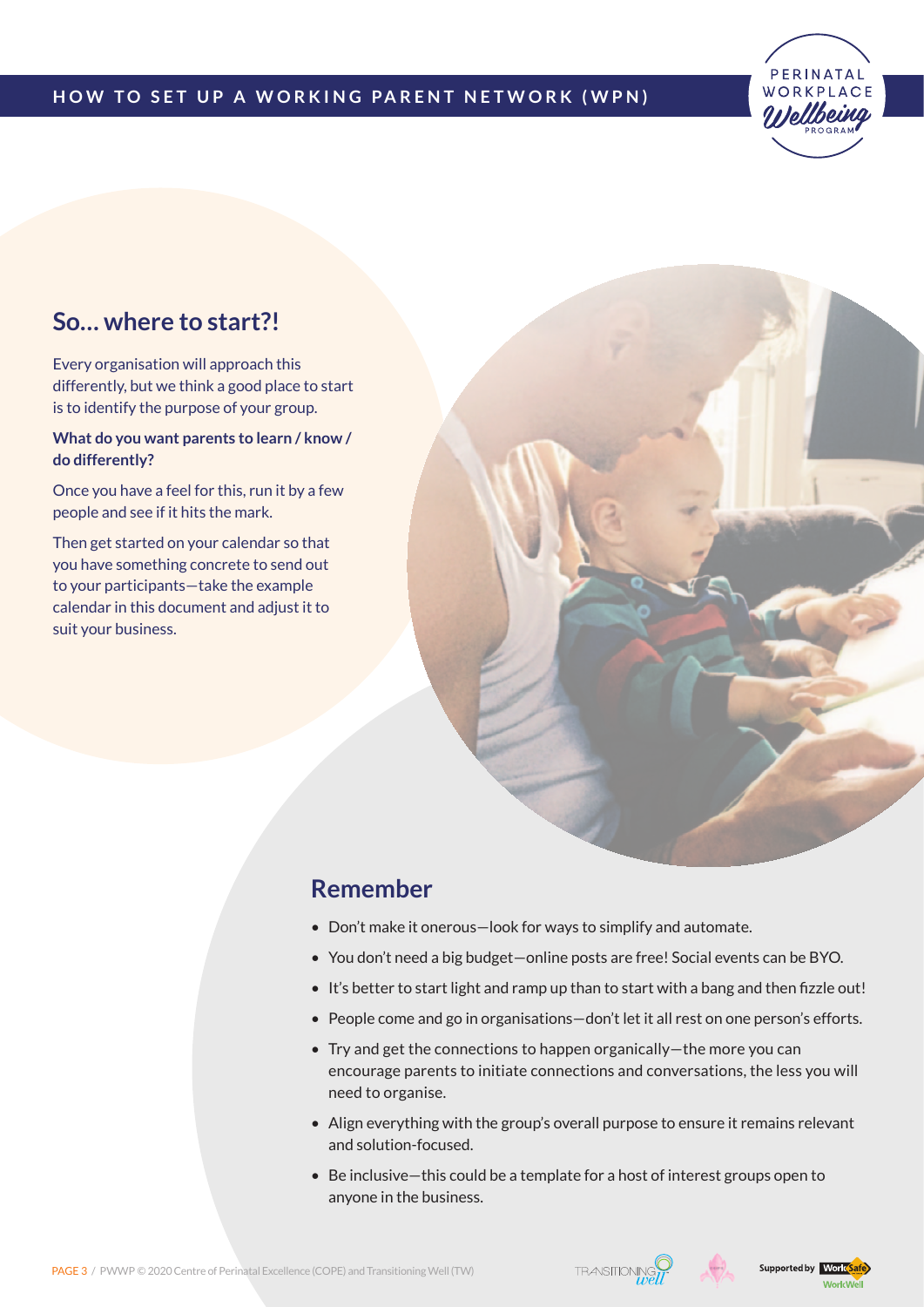### **H ow to S et up a W orking Parent N etwork ( W P N )**



### **So… where to start?!**

Every organisation will approach this differently, but we think a good place to start is to identify the purpose of your group.

#### **What do you want parents to learn / know / do differently?**

Once you have a feel for this, run it by a few people and see if it hits the mark.

Then get started on your calendar so that you have something concrete to send out to your participants—take the example calendar in this document and adjust it to suit your business.



### **Remember**

- Don't make it onerous—look for ways to simplify and automate.
- You don't need a big budget—online posts are free! Social events can be BYO.
- It's better to start light and ramp up than to start with a bang and then fizzle out!
- People come and go in organisations—don't let it all rest on one person's efforts.
- Try and get the connections to happen organically—the more you can encourage parents to initiate connections and conversations, the less you will need to organise.
- Align everything with the group's overall purpose to ensure it remains relevant and solution-focused.
- Be inclusive—this could be a template for a host of interest groups open to anyone in the business.





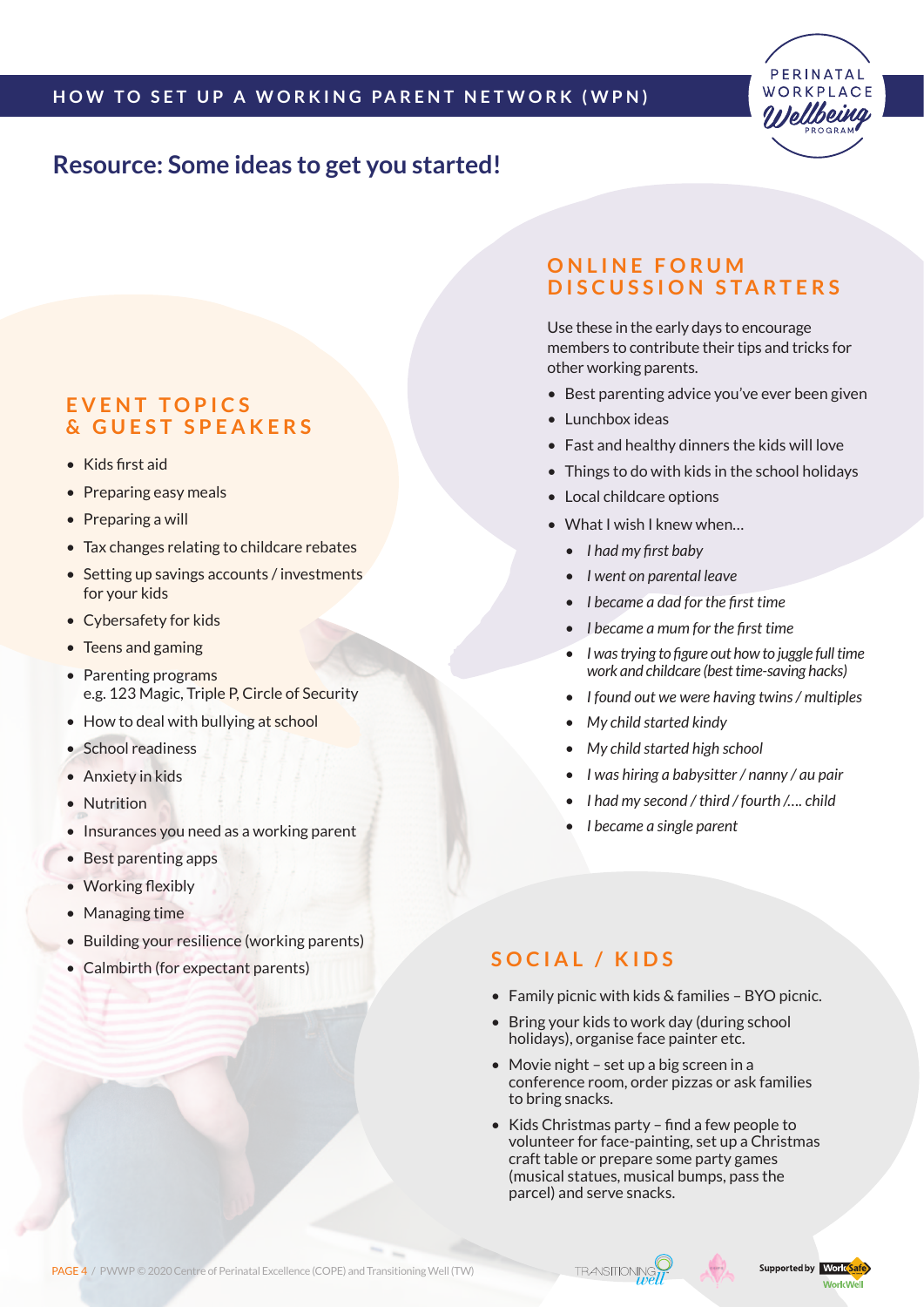

### **Resource: Some ideas to get you started!**

### **E v ent topics & guest speakers**

- Kids first aid
- Preparing easy meals
- Preparing a will
- Tax changes relating to childcare rebates
- Setting up savings accounts / investments for your kids
- Cybersafety for kids
- Teens and gaming
- Parenting programs e.g. 123 Magic, Triple P, Circle of Security
- How to deal with bullying at school
- School readiness
- Anxiety in kids
- Nutrition
- Insurances you need as a working parent
- Best parenting apps
- Working flexibly
- Managing time
- Building your resilience (working parents)
- Calmbirth (for expectant parents)

### **O n l ine foru m d iscussion starters**

Use these in the early days to encourage members to contribute their tips and tricks for other working parents.

- Best parenting advice you've ever been given
- Lunchbox ideas
- Fast and healthy dinners the kids will love
- Things to do with kids in the school holidays
- Local childcare options
- What I wish I knew when…
	- *• I had my first baby*
	- *• I went on parental leave*
	- *• I became a dad for the first time*
	- *• I became a mum for the first time*
	- *• I wastrying to figure out how to juggle fulltime work and childcare (besttime-saving hacks)*
	- *• I found out we were having twins/ multiples*
	- *• My child started kindy*
	- *• My child started high school*
	- *• I was hiring a babysitter / nanny / au pair*
	- *• I had my second / third / fourth /…. child*
	- *• I became a single parent*

### **S ocia l / K i d s**

- Family picnic with kids & families BYO picnic.
- Bring your kids to work day (during school holidays), organise face painter etc.
- Movie night set up a big screen in a conference room, order pizzas or ask families to bring snacks.
- Kids Christmas party find a few people to volunteer for face-painting, set up a Christmas craft table or prepare some party games (musical statues, musical bumps, pass the parcel) and serve snacks.

PAGE 4 / PWWP © 2020 Centre of Perinatal Excellence (COPE) and Transitioning Well (TW)



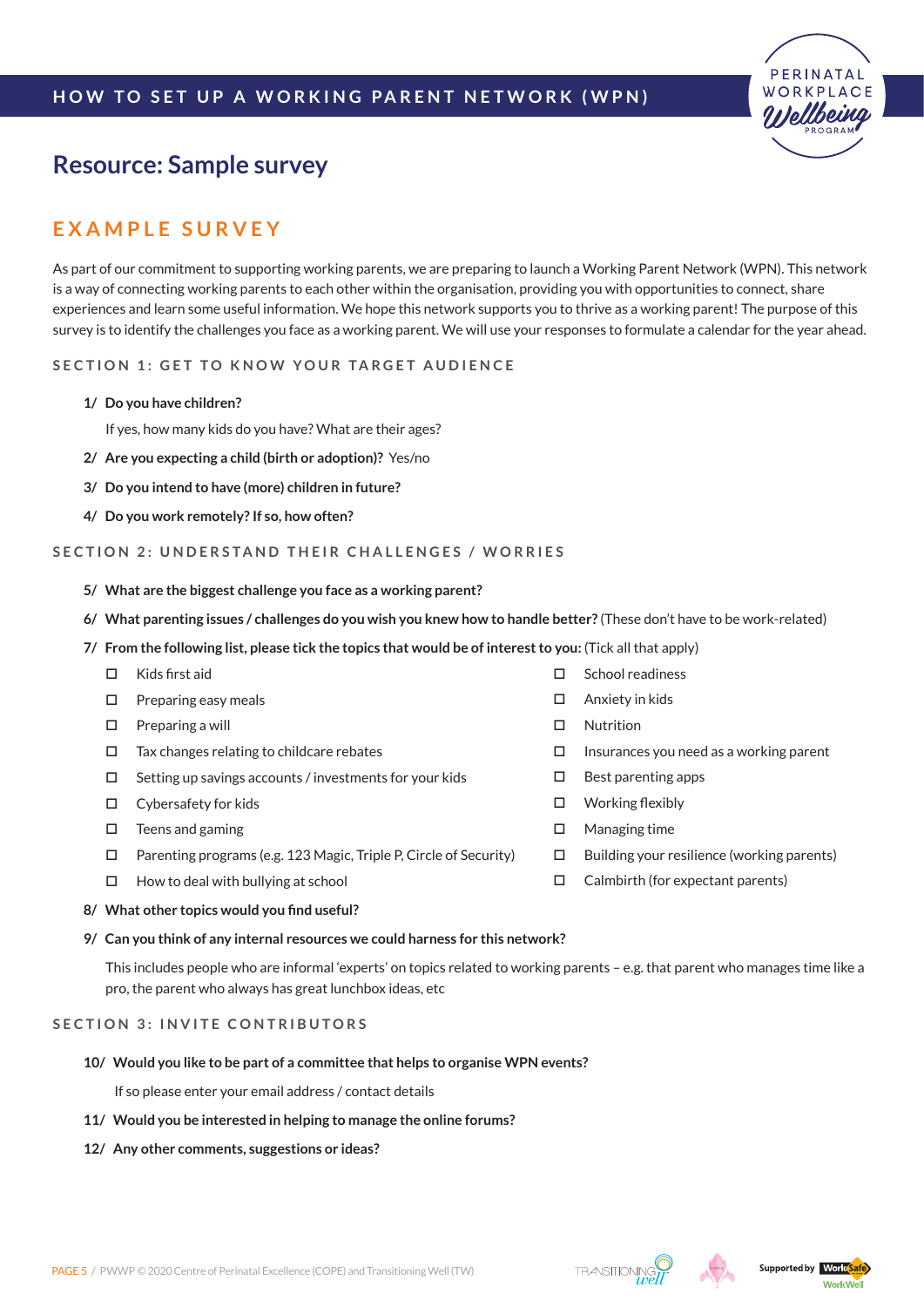### **H ow to S et up a W orking Parent N etwork ( W P N )**



### **Resource: Sample survey**

### **E x a m p l e S ur v e y**

As part of our commitment to supporting working parents, we are preparing to launch a Working Parent Network (WPN). This network is a way of connecting working parents to each other within the organisation, providing you with opportunities to connect, share experiences and learn some useful information. We hope this network supports you to thrive as a working parent! The purpose of this survey is to identify the challenges you face as a working parent. We will use your responses to formulate a calendar for the year ahead.

**S ection 1 : G et to know y our target au d ience**

**1/ Do you have children?**

If yes, how many kids do you have? What are their ages?

- **2/ Are you expecting a child (birth or adoption)?** Yes/no
- **3/ Do you intend to have (more) children in future?**
- **4/ Do you work remotely? If so, how often?**

#### **S ection 2 : U n d erstan d their cha l l enges / worries**

- **5/ What are the biggest challenge you face as a working parent?**
- **6/ What parenting issues / challenges do you wish you knew how to handle better?** (These don't have to be work-related)
- **7/ From the following list, please tick the topics that would be of interest to you:** (Tick all that apply)
	- $\Box$  Kids first aid
	- $\square$  Preparing easy meals
	- $\square$  Preparing a will
	- $\Box$  Tax changes relating to childcare rebates
	- $\square$  Setting up savings accounts / investments for your kids
	- Cybersafety for kids
	- $\square$  Teens and gaming
	- $\Box$  Parenting programs (e.g. 123 Magic, Triple P, Circle of Security)
	- $\Box$  How to deal with bullying at school
- □ School readiness
- □ Anxiety in kids
- □ Nutrition
- $\Box$  Insurances you need as a working parent
- $\square$  Best parenting apps
- □ Working flexibly
- Managing time
- $\Box$  Building your resilience (working parents)
- $\Box$  Calmbirth (for expectant parents)

#### **8/ What other topics would you find useful?**

#### **9/ Can you think of any internal resources we could harness for this network?**

This includes people who are informal 'experts' on topics related to working parents – e.g. that parent who manages time like a pro, the parent who always has great lunchbox ideas, etc

#### **S ection 3 : I n v ite contributors**

**10/ Would you like to be part of a committee that helps to organise WPN events?** 

If so please enter your email address / contact details

- **11/ Would you be interested in helping to manage the online forums?**
- **12/ Any other comments, suggestions or ideas?**